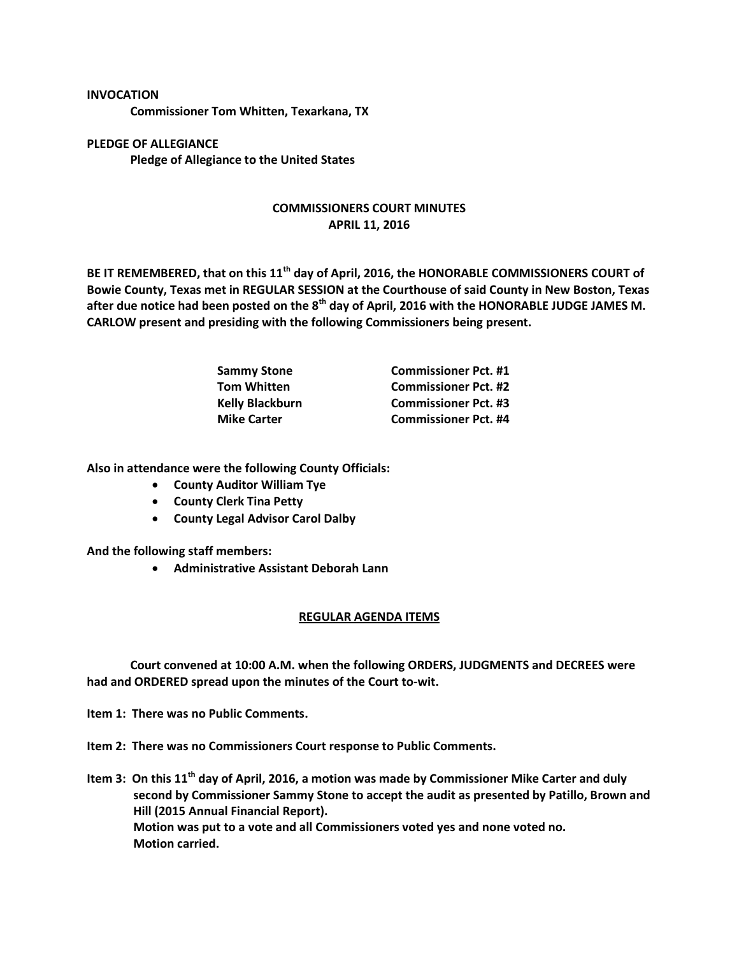## **INVOCATION**

**Commissioner Tom Whitten, Texarkana, TX**

**PLEDGE OF ALLEGIANCE Pledge of Allegiance to the United States**

## **COMMISSIONERS COURT MINUTES APRIL 11, 2016**

**BE IT REMEMBERED, that on this 11th day of April, 2016, the HONORABLE COMMISSIONERS COURT of Bowie County, Texas met in REGULAR SESSION at the Courthouse of said County in New Boston, Texas after due notice had been posted on the 8th day of April, 2016 with the HONORABLE JUDGE JAMES M. CARLOW present and presiding with the following Commissioners being present.**

| <b>Sammy Stone</b>     | <b>Commissioner Pct. #1</b> |
|------------------------|-----------------------------|
| <b>Tom Whitten</b>     | <b>Commissioner Pct. #2</b> |
| <b>Kelly Blackburn</b> | <b>Commissioner Pct. #3</b> |
| <b>Mike Carter</b>     | <b>Commissioner Pct. #4</b> |

**Also in attendance were the following County Officials:**

- **County Auditor William Tye**
- **County Clerk Tina Petty**
- **County Legal Advisor Carol Dalby**

**And the following staff members:**

**Administrative Assistant Deborah Lann**

## **REGULAR AGENDA ITEMS**

**Court convened at 10:00 A.M. when the following ORDERS, JUDGMENTS and DECREES were had and ORDERED spread upon the minutes of the Court to-wit.**

**Item 1: There was no Public Comments.**

**Item 2: There was no Commissioners Court response to Public Comments.**

**Item 3: On this 11th day of April, 2016, a motion was made by Commissioner Mike Carter and duly second by Commissioner Sammy Stone to accept the audit as presented by Patillo, Brown and Hill (2015 Annual Financial Report). Motion was put to a vote and all Commissioners voted yes and none voted no. Motion carried.**